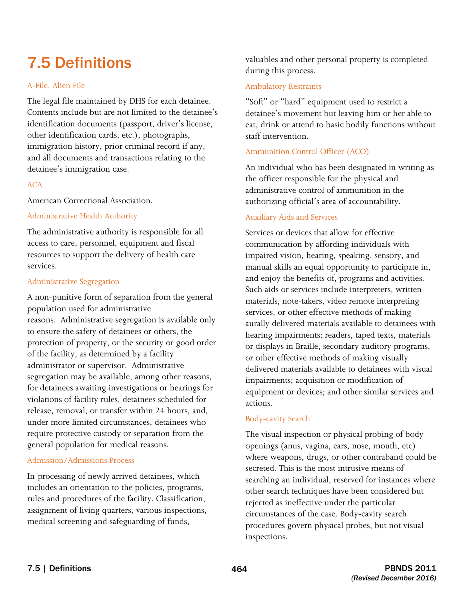# 7.5 Definitions

# A-File, Alien File

The legal file maintained by DHS for each detainee. Contents include but are not limited to the detainee's identification documents (passport, driver's license, other identification cards, etc.), photographs, immigration history, prior criminal record if any, and all documents and transactions relating to the detainee's immigration case.

# ACA

American Correctional Association.

#### Administrative Health Authority

The administrative authority is responsible for all access to care, personnel, equipment and fiscal resources to support the delivery of health care services.

#### Administrative Segregation

 reasons. Administrative segregation is available only administrator or supervisor. Administrative for detainees awaiting investigations or hearings for A non-punitive form of separation from the general population used for administrative to ensure the safety of detainees or others, the protection of property, or the security or good order of the facility, as determined by a facility segregation may be available, among other reasons, violations of facility rules, detainees scheduled for release, removal, or transfer within 24 hours, and, under more limited circumstances, detainees who require protective custody or separation from the general population for medical reasons.

#### Admission/Admissions Process

In-processing of newly arrived detainees, which includes an orientation to the policies, programs, rules and procedures of the facility. Classification, assignment of living quarters, various inspections, medical screening and safeguarding of funds,

valuables and other personal property is completed during this process.

#### Ambulatory Restraints

"Soft" or "hard" equipment used to restrict a detainee's movement but leaving him or her able to eat, drink or attend to basic bodily functions without staff intervention.

### Ammunition Control Officer (ACO)

An individual who has been designated in writing as the officer responsible for the physical and administrative control of ammunition in the authorizing official's area of accountability.

#### Auxiliary Aids and Services

and enjoy the benefits of, programs and activities. Services or devices that allow for effective communication by affording individuals with impaired vision, hearing, speaking, sensory, and manual skills an equal opportunity to participate in, Such aids or services include interpreters, written materials, note-takers, video remote interpreting services, or other effective methods of making aurally delivered materials available to detainees with hearing impairments; readers, taped texts, materials or displays in Braille, secondary auditory programs, or other effective methods of making visually delivered materials available to detainees with visual impairments; acquisition or modification of equipment or devices; and other similar services and actions.

#### Body-cavity Search

The visual inspection or physical probing of body openings (anus, vagina, ears, nose, mouth, etc) where weapons, drugs, or other contraband could be secreted. This is the most intrusive means of searching an individual, reserved for instances where other search techniques have been considered but rejected as ineffective under the particular circumstances of the case. Body-cavity search procedures govern physical probes, but not visual inspections.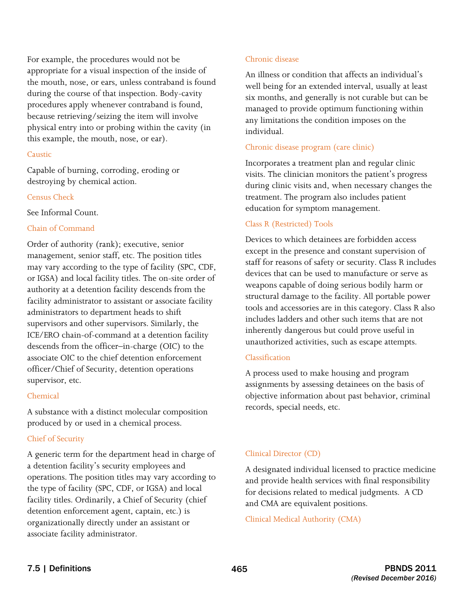For example, the procedures would not be appropriate for a visual inspection of the inside of the mouth, nose, or ears, unless contraband is found during the course of that inspection. Body-cavity procedures apply whenever contraband is found, because retrieving/seizing the item will involve physical entry into or probing within the cavity (in this example, the mouth, nose, or ear).

#### Caustic

Capable of burning, corroding, eroding or destroying by chemical action.

#### Census Check

See Informal Count.

# Chain of Command

 supervisor, etc. Order of authority (rank); executive, senior management, senior staff, etc. The position titles may vary according to the type of facility (SPC, CDF, or IGSA) and local facility titles. The on-site order of authority at a detention facility descends from the facility administrator to assistant or associate facility administrators to department heads to shift supervisors and other supervisors. Similarly, the ICE/ERO chain-of-command at a detention facility descends from the officer–in-charge (OIC) to the associate OIC to the chief detention enforcement officer/Chief of Security, detention operations

# Chemical

A substance with a distinct molecular composition produced by or used in a chemical process.

# Chief of Security

 A generic term for the department head in charge of a detention facility's security employees and operations. The position titles may vary according to the type of facility (SPC, CDF, or IGSA) and local facility titles. Ordinarily, a Chief of Security (chief detention enforcement agent, captain, etc.) is organizationally directly under an assistant or associate facility administrator.

### Chronic disease

An illness or condition that affects an individual's well being for an extended interval, usually at least six months, and generally is not curable but can be managed to provide optimum functioning within any limitations the condition imposes on the individual.

# Chronic disease program (care clinic)

Incorporates a treatment plan and regular clinic visits. The clinician monitors the patient's progress during clinic visits and, when necessary changes the treatment. The program also includes patient education for symptom management.

### Class R (Restricted) Tools

Devices to which detainees are forbidden access except in the presence and constant supervision of staff for reasons of safety or security. Class R includes devices that can be used to manufacture or serve as weapons capable of doing serious bodily harm or structural damage to the facility. All portable power tools and accessories are in this category. Class R also includes ladders and other such items that are not inherently dangerous but could prove useful in unauthorized activities, such as escape attempts.

#### Classification

A process used to make housing and program assignments by assessing detainees on the basis of objective information about past behavior, criminal records, special needs, etc.

# Clinical Director (CD)

A designated individual licensed to practice medicine and provide health services with final responsibility for decisions related to medical judgments. A CD and CMA are equivalent positions.

Clinical Medical Authority (CMA)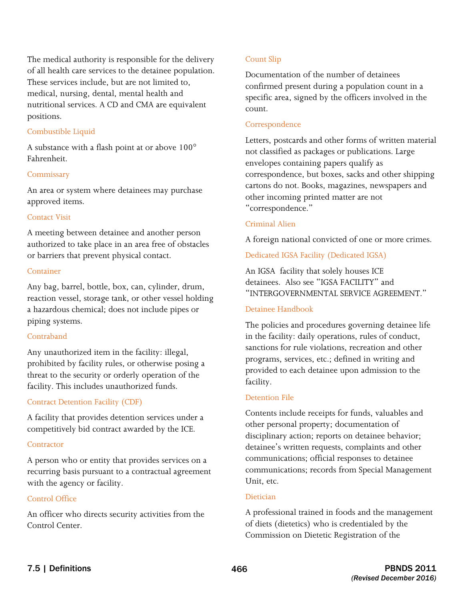The medical authority is responsible for the delivery of all health care services to the detainee population. These services include, but are not limited to, medical, nursing, dental, mental health and nutritional services. A CD and CMA are equivalent positions.

### Combustible Liquid

A substance with a flash point at or above 100° Fahrenheit.

#### Commissary

An area or system where detainees may purchase approved items.

# Contact Visit

A meeting between detainee and another person authorized to take place in an area free of obstacles or barriers that prevent physical contact.

#### Container

Any bag, barrel, bottle, box, can, cylinder, drum, reaction vessel, storage tank, or other vessel holding a hazardous chemical; does not include pipes or piping systems.

# Contraband

Any unauthorized item in the facility: illegal, prohibited by facility rules, or otherwise posing a threat to the security or orderly operation of the facility. This includes unauthorized funds.

# Contract Detention Facility (CDF)

A facility that provides detention services under a competitively bid contract awarded by the ICE.

# Contractor

 recurring basis pursuant to a contractual agreement A person who or entity that provides services on a with the agency or facility.

# Control Office

An officer who directs security activities from the Control Center.

# Count Slip

Documentation of the number of detainees confirmed present during a population count in a specific area, signed by the officers involved in the count.

#### Correspondence

Letters, postcards and other forms of written material not classified as packages or publications. Large envelopes containing papers qualify as correspondence, but boxes, sacks and other shipping cartons do not. Books, magazines, newspapers and other incoming printed matter are not "correspondence."

### Criminal Alien

A foreign national convicted of one or more crimes.

### Dedicated IGSA Facility (Dedicated IGSA)

 An IGSA facility that solely houses ICE detainees. Also see "IGSA FACILITY" and "INTERGOVERNMENTAL SERVICE AGREEMENT."

#### Detainee Handbook

The policies and procedures governing detainee life in the facility: daily operations, rules of conduct, sanctions for rule violations, recreation and other programs, services, etc.; defined in writing and provided to each detainee upon admission to the facility.

#### Detention File

Contents include receipts for funds, valuables and other personal property; documentation of disciplinary action; reports on detainee behavior; detainee's written requests, complaints and other communications; official responses to detainee communications; records from Special Management Unit, etc.

#### Dietician

A professional trained in foods and the management of diets (dietetics) who is credentialed by the Commission on Dietetic Registration of the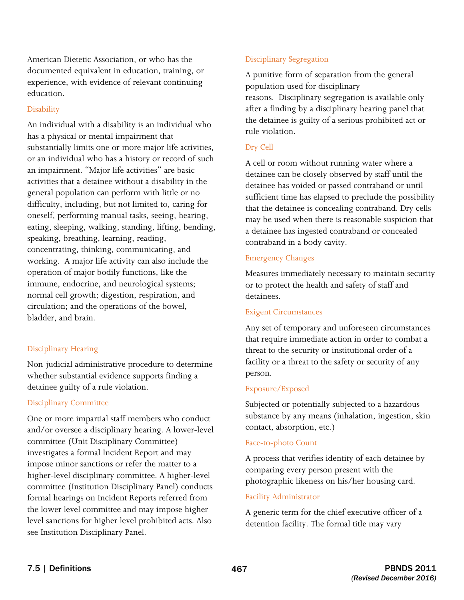American Dietetic Association, or who has the documented equivalent in education, training, or experience, with evidence of relevant continuing education.

### **Disability**

An individual with a disability is an individual who has a physical or mental impairment that substantially limits one or more major life activities, or an individual who has a history or record of such an impairment. "Major life activities" are basic activities that a detainee without a disability in the general population can perform with little or no difficulty, including, but not limited to, caring for oneself, performing manual tasks, seeing, hearing, eating, sleeping, walking, standing, lifting, bending, speaking, breathing, learning, reading, concentrating, thinking, communicating, and working. A major life activity can also include the operation of major bodily functions, like the immune, endocrine, and neurological systems; normal cell growth; digestion, respiration, and circulation; and the operations of the bowel, bladder, and brain.

# Disciplinary Hearing

Non-judicial administrative procedure to determine whether substantial evidence supports finding a detainee guilty of a rule violation.

# Disciplinary Committee

One or more impartial staff members who conduct and/or oversee a disciplinary hearing. A lower-level committee (Unit Disciplinary Committee) investigates a formal Incident Report and may impose minor sanctions or refer the matter to a higher-level disciplinary committee. A higher-level committee (Institution Disciplinary Panel) conducts formal hearings on Incident Reports referred from the lower level committee and may impose higher level sanctions for higher level prohibited acts. Also see Institution Disciplinary Panel.

# Disciplinary Segregation

 reasons. Disciplinary segregation is available only A punitive form of separation from the general population used for disciplinary after a finding by a disciplinary hearing panel that the detainee is guilty of a serious prohibited act or rule violation.

# Dry Cell

 detainee can be closely observed by staff until the A cell or room without running water where a detainee has voided or passed contraband or until sufficient time has elapsed to preclude the possibility that the detainee is concealing contraband. Dry cells may be used when there is reasonable suspicion that a detainee has ingested contraband or concealed contraband in a body cavity.

# Emergency Changes

Measures immediately necessary to maintain security or to protect the health and safety of staff and detainees.

# Exigent Circumstances

Any set of temporary and unforeseen circumstances that require immediate action in order to combat a threat to the security or institutional order of a facility or a threat to the safety or security of any person.

# Exposure/Exposed

Subjected or potentially subjected to a hazardous substance by any means (inhalation, ingestion, skin contact, absorption, etc.)

# Face-to-photo Count

A process that verifies identity of each detainee by comparing every person present with the photographic likeness on his/her housing card.

# Facility Administrator

A generic term for the chief executive officer of a detention facility. The formal title may vary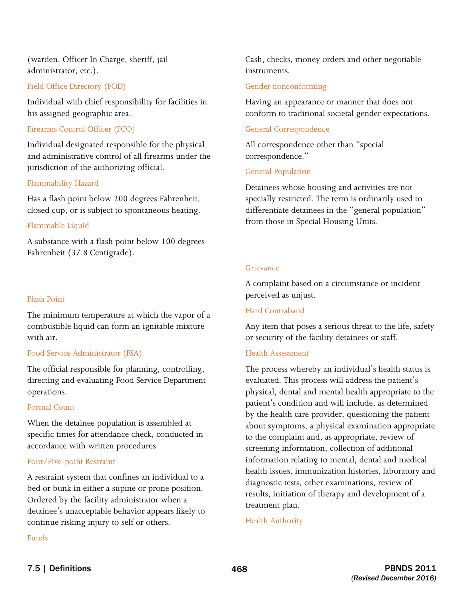(warden, Officer In Charge, sheriff, jail administrator, etc.).

### Field Office Directory (FOD)

Individual with chief responsibility for facilities in his assigned geographic area.

### Firearms Control Officer (FCO)

Individual designated responsible for the physical and administrative control of all firearms under the jurisdiction of the authorizing official.

### Flammability Hazard

Has a flash point below 200 degrees Fahrenheit, closed cup, or is subject to spontaneous heating.

### Flammable Liquid

A substance with a flash point below 100 degrees Fahrenheit (37.8 Centigrade).

#### Flash Point

The minimum temperature at which the vapor of a combustible liquid can form an ignitable mixture with air.

#### Food Service Administrator (FSA)

The official responsible for planning, controlling, directing and evaluating Food Service Department operations.

#### Formal Count

When the detainee population is assembled at specific times for attendance check, conducted in accordance with written procedures.

#### Four/Five-point Restraint

A restraint system that confines an individual to a bed or bunk in either a supine or prone position. Ordered by the facility administrator when a detainee's unacceptable behavior appears likely to continue risking injury to self or others.

#### Funds

Cash, checks, money orders and other negotiable instruments.

### Gender nonconforming

Having an appearance or manner that does not conform to traditional societal gender expectations.

# General Correspondence

All correspondence other than "special correspondence."

### General Population

Detainees whose housing and activities are not specially restricted. The term is ordinarily used to differentiate detainees in the "general population" from those in Special Housing Units.

### Grievance

 perceived as unjust. A complaint based on a circumstance or incident

#### Hard Contraband

Any item that poses a serious threat to the life, safety or security of the facility detainees or staff.

#### Health Assessment

 information relating to mental, dental and medical results, initiation of therapy and development of a The process whereby an individual's health status is evaluated. This process will address the patient's physical, dental and mental health appropriate to the patient's condition and will include, as determined by the health care provider, questioning the patient about symptoms, a physical examination appropriate to the complaint and, as appropriate, review of screening information, collection of additional health issues, immunization histories, laboratory and diagnostic tests, other examinations, review of treatment plan.

# Health Authority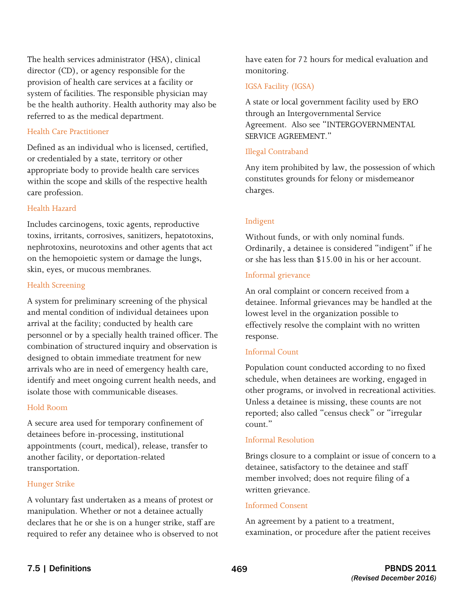The health services administrator (HSA), clinical director (CD), or agency responsible for the provision of health care services at a facility or system of facilities. The responsible physician may be the health authority. Health authority may also be referred to as the medical department.

### Health Care Practitioner

Defined as an individual who is licensed, certified, or credentialed by a state, territory or other appropriate body to provide health care services within the scope and skills of the respective health care profession.

### Health Hazard

Includes carcinogens, toxic agents, reproductive toxins, irritants, corrosives, sanitizers, hepatotoxins, nephrotoxins, neurotoxins and other agents that act on the hemopoietic system or damage the lungs, skin, eyes, or mucous membranes.

### Health Screening

A system for preliminary screening of the physical and mental condition of individual detainees upon arrival at the facility; conducted by health care personnel or by a specially health trained officer. The combination of structured inquiry and observation is designed to obtain immediate treatment for new arrivals who are in need of emergency health care, identify and meet ongoing current health needs, and isolate those with communicable diseases.

#### Hold Room

A secure area used for temporary confinement of detainees before in-processing, institutional appointments (court, medical), release, transfer to another facility, or deportation-related transportation.

#### Hunger Strike

A voluntary fast undertaken as a means of protest or manipulation. Whether or not a detainee actually declares that he or she is on a hunger strike, staff are required to refer any detainee who is observed to not have eaten for 72 hours for medical evaluation and monitoring.

# IGSA Facility (IGSA)

 Agreement. Also see "INTERGOVERNMENTAL A state or local government facility used by ERO through an Intergovernmental Service SERVICE AGREEMENT."

# Illegal Contraband

Any item prohibited by law, the possession of which constitutes grounds for felony or misdemeanor charges.

### Indigent

Without funds, or with only nominal funds. Ordinarily, a detainee is considered "indigent" if he or she has less than \$15.00 in his or her account.

# Informal grievance

An oral complaint or concern received from a detainee. Informal grievances may be handled at the lowest level in the organization possible to effectively resolve the complaint with no written response.

# Informal Count

Population count conducted according to no fixed schedule, when detainees are working, engaged in other programs, or involved in recreational activities. Unless a detainee is missing, these counts are not reported; also called "census check" or "irregular count."

# Informal Resolution

 detainee, satisfactory to the detainee and staff Brings closure to a complaint or issue of concern to a member involved; does not require filing of a written grievance.

#### Informed Consent

An agreement by a patient to a treatment, examination, or procedure after the patient receives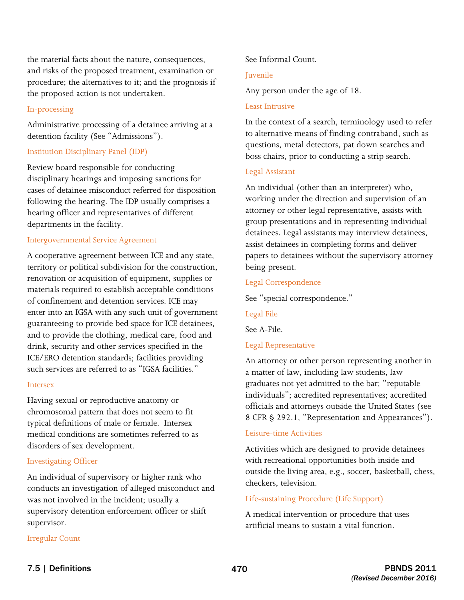procedure; the alternatives to it; and the prognosis if the material facts about the nature, consequences, and risks of the proposed treatment, examination or the proposed action is not undertaken.

#### In-processing

 Administrative processing of a detainee arriving at a detention facility (See "Admissions").

### Institution Disciplinary Panel (IDP)

Review board responsible for conducting disciplinary hearings and imposing sanctions for cases of detainee misconduct referred for disposition following the hearing. The IDP usually comprises a hearing officer and representatives of different departments in the facility.

#### Intergovernmental Service Agreement

A cooperative agreement between ICE and any state, territory or political subdivision for the construction, renovation or acquisition of equipment, supplies or materials required to establish acceptable conditions of confinement and detention services. ICE may enter into an IGSA with any such unit of government guaranteeing to provide bed space for ICE detainees, and to provide the clothing, medical care, food and drink, security and other services specified in the ICE/ERO detention standards; facilities providing such services are referred to as "IGSA facilities."

#### Intersex

Having sexual or reproductive anatomy or chromosomal pattern that does not seem to fit typical definitions of male or female. Intersex medical conditions are sometimes referred to as disorders of sex development.

#### Investigating Officer

 An individual of supervisory or higher rank who conducts an investigation of alleged misconduct and was not involved in the incident; usually a supervisory detention enforcement officer or shift supervisor.

#### Irregular Count

See Informal Count.

#### Juvenile

Any person under the age of 18.

#### Least Intrusive

In the context of a search, terminology used to refer to alternative means of finding contraband, such as questions, metal detectors, pat down searches and boss chairs, prior to conducting a strip search.

### Legal Assistant

An individual (other than an interpreter) who, working under the direction and supervision of an attorney or other legal representative, assists with group presentations and in representing individual detainees. Legal assistants may interview detainees, assist detainees in completing forms and deliver papers to detainees without the supervisory attorney being present.

#### Legal Correspondence

See "special correspondence."

Legal File

See A-File.

# Legal Representative

An attorney or other person representing another in a matter of law, including law students, law graduates not yet admitted to the bar; "reputable individuals"; accredited representatives; accredited officials and attorneys outside the United States (see 8 CFR § 292.1, "Representation and Appearances").

#### Leisure-time Activities

Activities which are designed to provide detainees with recreational opportunities both inside and outside the living area, e.g., soccer, basketball, chess, checkers, television.

# Life-sustaining Procedure (Life Support)

A medical intervention or procedure that uses artificial means to sustain a vital function.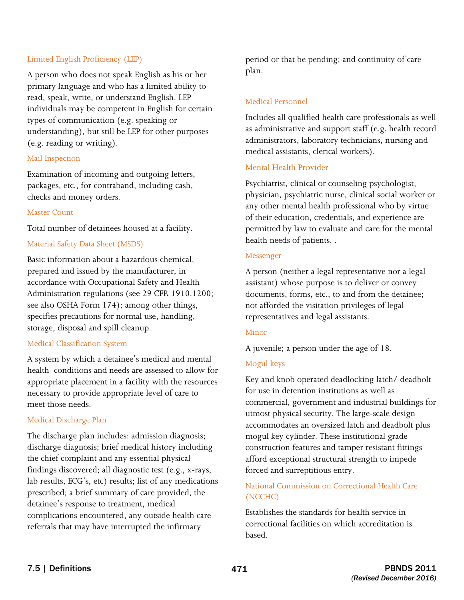### Limited English Proficiency (LEP)

A person who does not speak English as his or her primary language and who has a limited ability to read, speak, write, or understand English. LEP individuals may be competent in English for certain types of communication (e.g. speaking or understanding), but still be LEP for other purposes (e.g. reading or writing).

### Mail Inspection

Examination of incoming and outgoing letters, packages, etc., for contraband, including cash, checks and money orders.

#### Master Count

Total number of detainees housed at a facility.

### Material Safety Data Sheet (MSDS)

Basic information about a hazardous chemical, prepared and issued by the manufacturer, in accordance with Occupational Safety and Health Administration regulations (see 29 CFR 1910.1200; see also OSHA Form 174); among other things, specifies precautions for normal use, handling, storage, disposal and spill cleanup.

#### Medical Classification System

A system by which a detainee's medical and mental health conditions and needs are assessed to allow for appropriate placement in a facility with the resources necessary to provide appropriate level of care to meet those needs.

#### Medical Discharge Plan

The discharge plan includes: admission diagnosis; discharge diagnosis; brief medical history including the chief complaint and any essential physical findings discovered; all diagnostic test (e.g., x-rays, lab results, ECG's, etc) results; list of any medications prescribed; a brief summary of care provided, the detainee's response to treatment, medical complications encountered, any outside health care referrals that may have interrupted the infirmary

period or that be pending; and continuity of care plan.

# Medical Personnel

medical assistants, clerical workers).<br><u>Mental Health Provider</u> Includes all qualified health care professionals as well as administrative and support staff (e.g. health record administrators, laboratory technicians, nursing and

 physician, psychiatric nurse, clinical social worker or of their education, credentials, and experience are Psychiatrist, clinical or counseling psychologist, any other mental health professional who by virtue permitted by law to evaluate and care for the mental health needs of patients. .

#### Messenger

A person (neither a legal representative nor a legal assistant) whose purpose is to deliver or convey documents, forms, etc., to and from the detainee; not afforded the visitation privileges of legal representatives and legal assistants.

#### Minor

A juvenile; a person under the age of 18.

#### Mogul keys

 commercial, government and industrial buildings for Key and knob operated deadlocking latch/ deadbolt for use in detention institutions as well as utmost physical security. The large-scale design accommodates an oversized latch and deadbolt plus mogul key cylinder. These institutional grade construction features and tamper resistant fittings afford exceptional structural strength to impede forced and surreptitious entry.

# National Commission on Correctional Health Care (NCCHC)

Establishes the standards for health service in correctional facilities on which accreditation is based.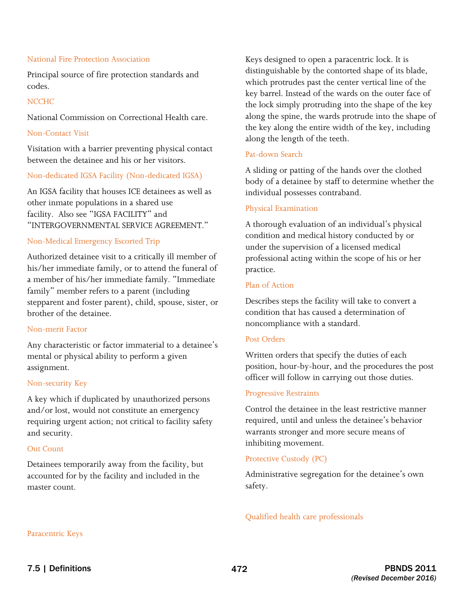#### National Fire Protection Association

Principal source of fire protection standards and codes.

#### NCCHC

National Commission on Correctional Health care.

#### Non-Contact Visit

Visitation with a barrier preventing physical contact between the detainee and his or her visitors.

#### Non-dedicated IGSA Facility (Non-dedicated IGSA)

 facility. Also see "IGSA FACILITY" and An IGSA facility that houses ICE detainees as well as other inmate populations in a shared use "INTERGOVERNMENTAL SERVICE AGREEMENT."

#### Non-Medical Emergency Escorted Trip

 Authorized detainee visit to a critically ill member of his/her immediate family, or to attend the funeral of a member of his/her immediate family. "Immediate family" member refers to a parent (including stepparent and foster parent), child, spouse, sister, or brother of the detainee.

#### Non-merit Factor

 mental or physical ability to perform a given Any characteristic or factor immaterial to a detainee's assignment.

#### Non-security Key

A key which if duplicated by unauthorized persons and/or lost, would not constitute an emergency requiring urgent action; not critical to facility safety and security.

#### Out Count

Detainees temporarily away from the facility, but accounted for by the facility and included in the master count.

 along the spine, the wards protrude into the shape of Keys designed to open a paracentric lock. It is distinguishable by the contorted shape of its blade, which protrudes past the center vertical line of the key barrel. Instead of the wards on the outer face of the lock simply protruding into the shape of the key the key along the entire width of the key, including along the length of the teeth.

#### Pat-down Search

A sliding or patting of the hands over the clothed body of a detainee by staff to determine whether the individual possesses contraband.

#### Physical Examination

A thorough evaluation of an individual's physical condition and medical history conducted by or under the supervision of a licensed medical professional acting within the scope of his or her practice.

#### Plan of Action

Describes steps the facility will take to convert a condition that has caused a determination of noncompliance with a standard.

#### Post Orders

Written orders that specify the duties of each position, hour-by-hour, and the procedures the post officer will follow in carrying out those duties.

#### Progressive Restraints

Control the detainee in the least restrictive manner required, until and unless the detainee's behavior warrants stronger and more secure means of inhibiting movement.

# Protective Custody (PC)

Administrative segregation for the detainee's own safety.

#### Qualified health care professionals

Paracentric Keys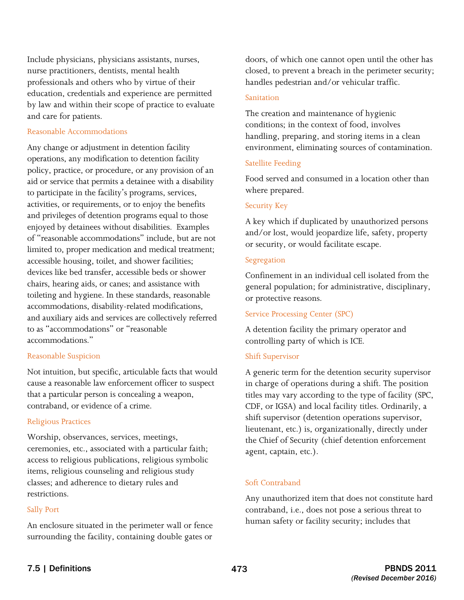Include physicians, physicians assistants, nurses, nurse practitioners, dentists, mental health professionals and others who by virtue of their education, credentials and experience are permitted by law and within their scope of practice to evaluate and care for patients.

#### Reasonable Accommodations

 activities, or requirements, or to enjoy the benefits and auxiliary aids and services are collectively referred Any change or adjustment in detention facility operations, any modification to detention facility policy, practice, or procedure, or any provision of an aid or service that permits a detainee with a disability to participate in the facility's programs, services, and privileges of detention programs equal to those enjoyed by detainees without disabilities. Examples of "reasonable accommodations" include, but are not limited to, proper medication and medical treatment; accessible housing, toilet, and shower facilities; devices like bed transfer, accessible beds or shower chairs, hearing aids, or canes; and assistance with toileting and hygiene. In these standards, reasonable accommodations, disability-related modifications, to as "accommodations" or "reasonable accommodations."

#### Reasonable Suspicion

 Not intuition, but specific, articulable facts that would cause a reasonable law enforcement officer to suspect that a particular person is concealing a weapon, contraband, or evidence of a crime.

# Religious Practices

Worship, observances, services, meetings, ceremonies, etc., associated with a particular faith; access to religious publications, religious symbolic items, religious counseling and religious study classes; and adherence to dietary rules and restrictions.

#### Sally Port

An enclosure situated in the perimeter wall or fence surrounding the facility, containing double gates or doors, of which one cannot open until the other has closed, to prevent a breach in the perimeter security; handles pedestrian and/or vehicular traffic.

#### Sanitation

The creation and maintenance of hygienic conditions; in the context of food, involves handling, preparing, and storing items in a clean environment, eliminating sources of contamination.

### Satellite Feeding

Food served and consumed in a location other than where prepared.

### Security Key

A key which if duplicated by unauthorized persons and/or lost, would jeopardize life, safety, property or security, or would facilitate escape.

### Segregation

Confinement in an individual cell isolated from the general population; for administrative, disciplinary, or protective reasons.

#### Service Processing Center (SPC)

A detention facility the primary operator and controlling party of which is ICE.

#### Shift Supervisor

A generic term for the detention security supervisor in charge of operations during a shift. The position titles may vary according to the type of facility (SPC, CDF, or IGSA) and local facility titles. Ordinarily, a shift supervisor (detention operations supervisor, lieutenant, etc.) is, organizationally, directly under the Chief of Security (chief detention enforcement agent, captain, etc.).

# Soft Contraband

Any unauthorized item that does not constitute hard contraband, i.e., does not pose a serious threat to human safety or facility security; includes that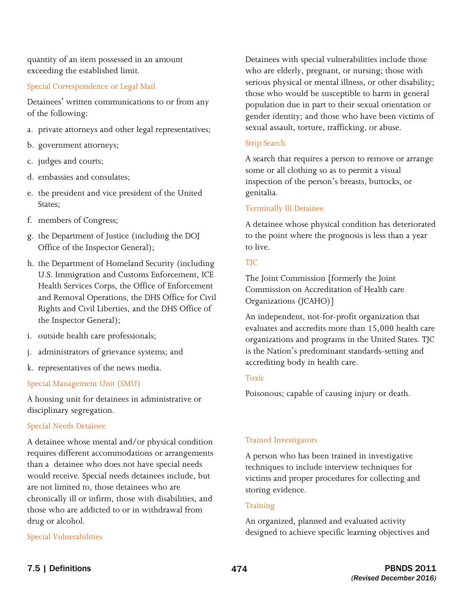quantity of an item possessed in an amount exceeding the established limit.

#### Special Correspondence or Legal Mail

Detainees' written communications to or from any of the following:

- a. private attorneys and other legal representatives;
- b. government attorneys;
- c. judges and courts;
- d. embassies and consulates;
- e. the president and vice president of the United States;
- f. members of Congress;
- g. the Department of Justice (including the DOJ Office of the Inspector General);
- h. the Department of Homeland Security (including U.S. Immigration and Customs Enforcement, ICE Health Services Corps, the Office of Enforcement and Removal Operations, the DHS Office for Civil Rights and Civil Liberties, and the DHS Office of the Inspector General);
- i. outside health care professionals;
- j. administrators of grievance systems; and
- k. representatives of the news media.

# Special Management Unit (SMU)

A housing unit for detainees in administrative or disciplinary segregation.

#### Special Needs Detainee

 are not limited to, those detainees who are those who are addicted to or in withdrawal from drug or alcohol. A detainee whose mental and/or physical condition requires different accommodations or arrangements than a detainee who does not have special needs would receive. Special needs detainees include, but chronically ill or infirm, those with disabilities, and

#### Special Vulnerabilities

Detainees with special vulnerabilities include those who are elderly, pregnant, or nursing; those with serious physical or mental illness, or other disability; those who would be susceptible to harm in general population due in part to their sexual orientation or gender identity; and those who have been victims of sexual assault, torture, trafficking, or abuse.

#### Strip Search

A search that requires a person to remove or arrange some or all clothing so as to permit a visual inspection of the person's breasts, buttocks, or genitalia.

### Terminally Ill Detainee

A detainee whose physical condition has deteriorated to the point where the prognosis is less than a year to live.

# **TIC**

The Joint Commission [formerly the Joint Commission on Accreditation of Health care Organizations (JCAHO)]

An independent, not-for-profit organization that evaluates and accredits more than 15,000 health care organizations and programs in the United States. TJC is the Nation's predominant standards-setting and accrediting body in health care.

#### Toxic

Poisonous; capable of causing injury or death.

# Trained Investigators

A person who has been trained in investigative techniques to include interview techniques for victims and proper procedures for collecting and storing evidence.

#### Training

An organized, planned and evaluated activity designed to achieve specific learning objectives and